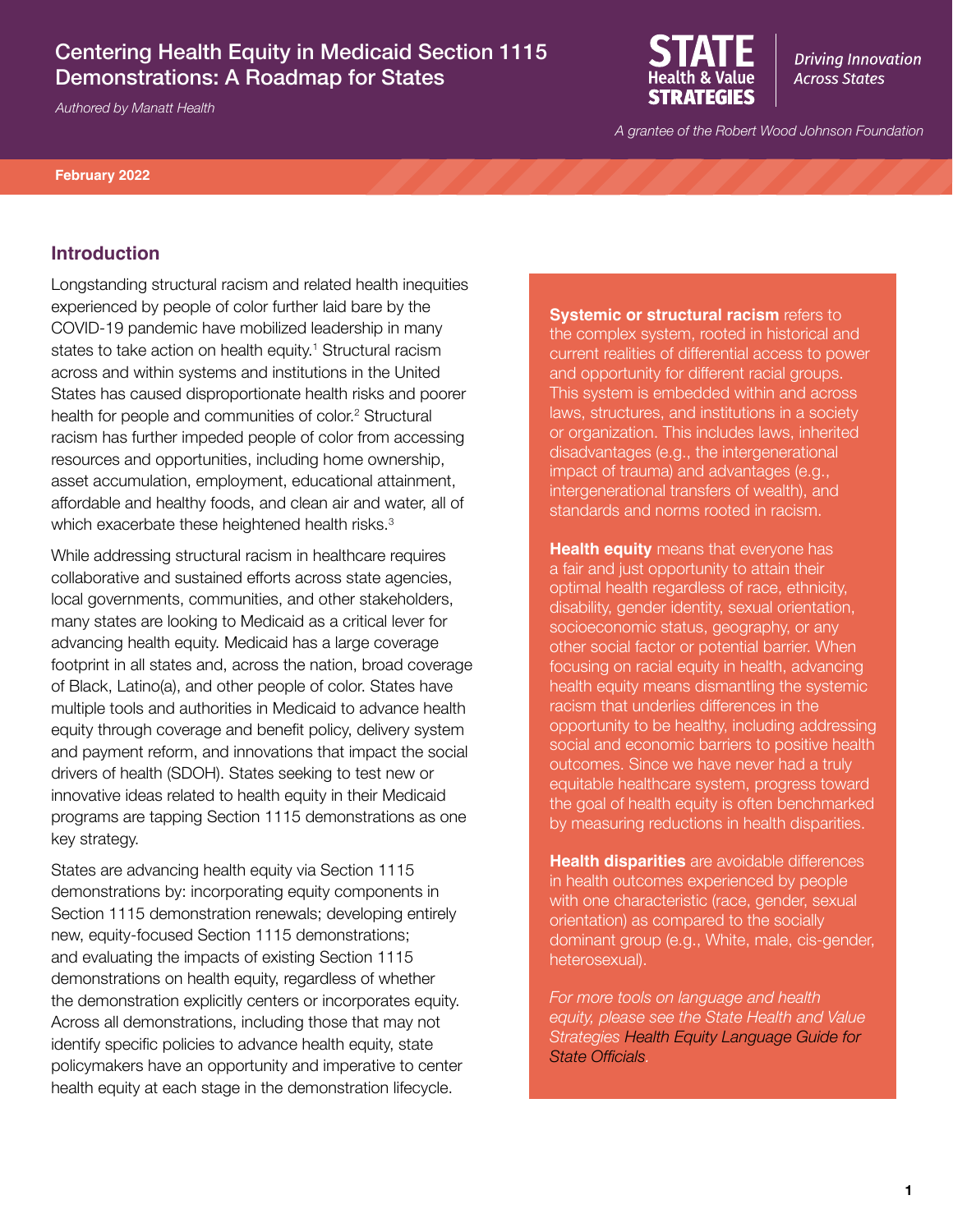# Centering Health Equity in Medicaid Section 1115 Demonstrations: A Roadmap for States

*Authored by Manatt Health*



**Driving Innovation Across States** 

*A grantee of the Robert Wood Johnson Foundation*

**February 2022**

#### **Introduction**

Longstanding structural racism and related health inequities experienced by people of color further laid bare by the COVID-19 pandemic have mobilized leadership in many states to take action on health equity.<sup>1</sup> Structural racism across and within systems and institutions in the United States has caused disproportionate health risks and poorer health for people and communities of color.<sup>2</sup> Structural racism has further impeded people of color from accessing resources and opportunities, including home ownership, asset accumulation, employment, educational attainment, affordable and healthy foods, and clean air and water, all of which exacerbate these heightened health risks.<sup>3</sup>

While addressing structural racism in healthcare requires collaborative and sustained efforts across state agencies, local governments, communities, and other stakeholders, many states are looking to Medicaid as a critical lever for advancing health equity. Medicaid has a large coverage footprint in all states and, across the nation, broad coverage of Black, Latino(a), and other people of color. States have multiple tools and authorities in Medicaid to advance health equity through coverage and benefit policy, delivery system and payment reform, and innovations that impact the social drivers of health (SDOH). States seeking to test new or innovative ideas related to health equity in their Medicaid programs are tapping Section 1115 demonstrations as one key strategy.

States are advancing health equity via Section 1115 demonstrations by: incorporating equity components in Section 1115 demonstration renewals; developing entirely new, equity-focused Section 1115 demonstrations; and evaluating the impacts of existing Section 1115 demonstrations on health equity, regardless of whether the demonstration explicitly centers or incorporates equity. Across all demonstrations, including those that may not identify specific policies to advance health equity, state policymakers have an opportunity and imperative to center health equity at each stage in the demonstration lifecycle.

**Systemic or structural racism refers to** the complex system, rooted in historical and current realities of differential access to power and opportunity for different racial groups. This system is embedded within and across laws, structures, and institutions in a society or organization. This includes laws, inherited disadvantages (e.g., the intergenerational impact of trauma) and advantages (e.g., intergenerational transfers of wealth), and standards and norms rooted in racism.

**Health equity** means that everyone has a fair and just opportunity to attain their optimal health regardless of race, ethnicity, disability, gender identity, sexual orientation, socioeconomic status, geography, or any other social factor or potential barrier. When focusing on racial equity in health, advancing health equity means dismantling the systemic racism that underlies differences in the opportunity to be healthy, including addressing social and economic barriers to positive health outcomes. Since we have never had a truly equitable healthcare system, progress toward the goal of health equity is often benchmarked by measuring reductions in health disparities.

**Health disparities** are avoidable differences in health outcomes experienced by people with one characteristic (race, gender, sexual orientation) as compared to the socially dominant group (e.g., White, male, cis-gender, heterosexual).

*For more tools on language and health equity, please see the State Health and Value Strategies [Health Equity Language Guide for](https://www.shvs.org/resource/health-equity-language-guide-for-state-officials/)  [State Officials](https://www.shvs.org/resource/health-equity-language-guide-for-state-officials/).*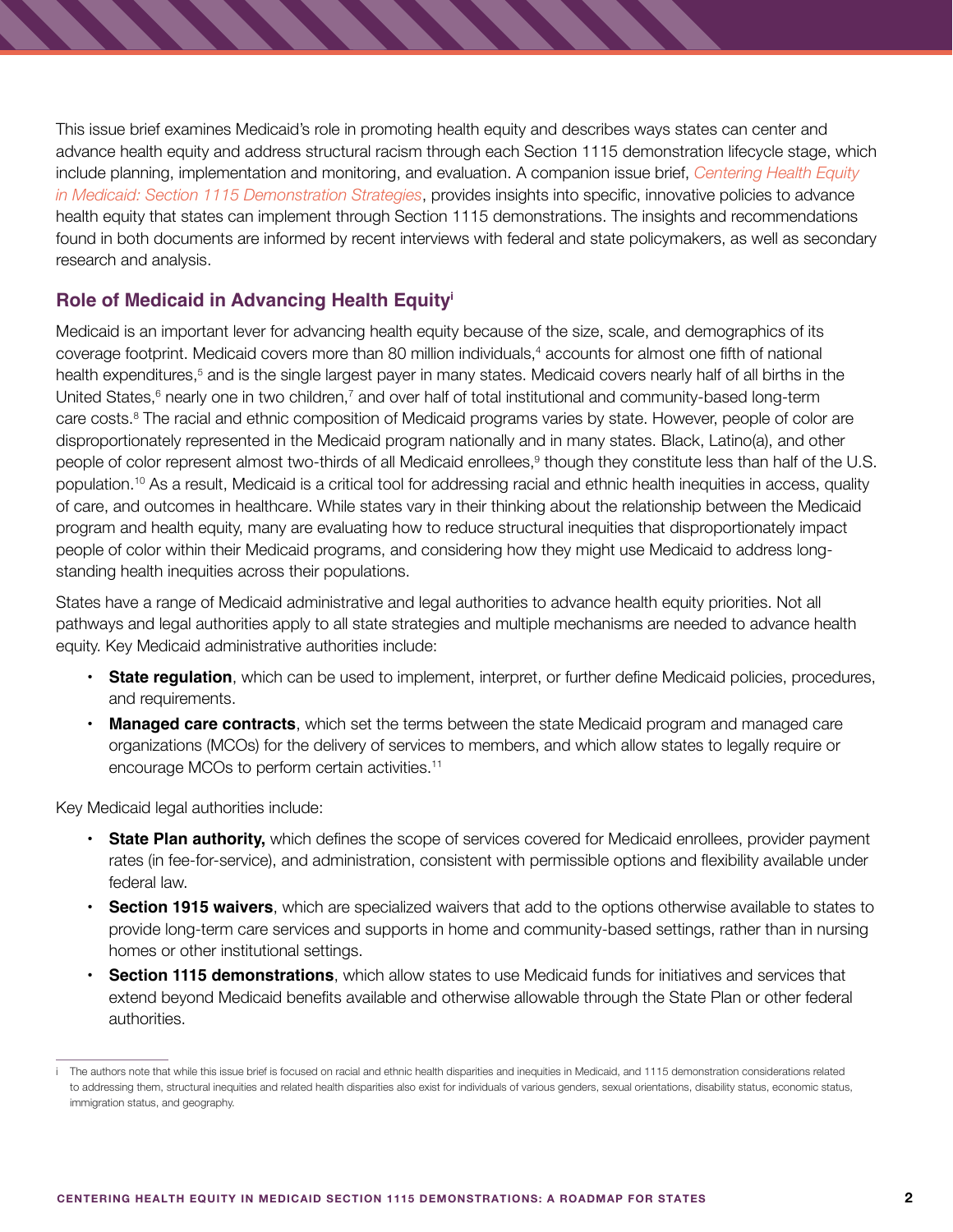This issue brief examines Medicaid's role in promoting health equity and describes ways states can center and advance health equity and address structural racism through each Section 1115 demonstration lifecycle stage, which include planning, implementation and monitoring, and evaluation. A companion issue brief, *[Centering Health Equity](https://www.shvs.org/wp-content/uploads/2022/02/Companion-Document-Demonstrations-Health-Equity-Strategies-final.pdf)  [in Medicaid: Section 1115 Demonstration Strategies](https://www.shvs.org/wp-content/uploads/2022/02/Companion-Document-Demonstrations-Health-Equity-Strategies-final.pdf)*, provides insights into specific, innovative policies to advance health equity that states can implement through Section 1115 demonstrations. The insights and recommendations found in both documents are informed by recent interviews with federal and state policymakers, as well as secondary research and analysis.

# **Role of Medicaid in Advancing Health Equityi**

Medicaid is an important lever for advancing health equity because of the size, scale, and demographics of its coverage footprint. Medicaid covers more than 80 million individuals,<sup>4</sup> accounts for almost one fifth of national health expenditures,<sup>5</sup> and is the single largest payer in many states. Medicaid covers nearly half of all births in the United States,<sup>6</sup> nearly one in two children,<sup>7</sup> and over half of total institutional and community-based long-term care costs.<sup>8</sup> The racial and ethnic composition of Medicaid programs varies by state. However, people of color are disproportionately represented in the Medicaid program nationally and in many states. Black, Latino(a), and other people of color represent almost two-thirds of all Medicaid enrollees,<sup>9</sup> though they constitute less than half of the U.S. population.10 As a result, Medicaid is a critical tool for addressing racial and ethnic health inequities in access, quality of care, and outcomes in healthcare. While states vary in their thinking about the relationship between the Medicaid program and health equity, many are evaluating how to reduce structural inequities that disproportionately impact people of color within their Medicaid programs, and considering how they might use Medicaid to address longstanding health inequities across their populations.

States have a range of Medicaid administrative and legal authorities to advance health equity priorities. Not all pathways and legal authorities apply to all state strategies and multiple mechanisms are needed to advance health equity. Key Medicaid administrative authorities include:

- **• State regulation**, which can be used to implement, interpret, or further define Medicaid policies, procedures, and requirements.
- **• Managed care contracts**, which set the terms between the state Medicaid program and managed care organizations (MCOs) for the delivery of services to members, and which allow states to legally require or encourage MCOs to perform certain activities.11

Key Medicaid legal authorities include:

- **• State Plan authority,** which defines the scope of services covered for Medicaid enrollees, provider payment rates (in fee-for-service), and administration, consistent with permissible options and flexibility available under federal law.
- **• Section 1915 waivers**, which are specialized waivers that add to the options otherwise available to states to provide long-term care services and supports in home and community-based settings, rather than in nursing homes or other institutional settings.
- **• Section 1115 demonstrations**, which allow states to use Medicaid funds for initiatives and services that extend beyond Medicaid benefits available and otherwise allowable through the State Plan or other federal authorities.

i The authors note that while this issue brief is focused on racial and ethnic health disparities and inequities in Medicaid, and 1115 demonstration considerations related to addressing them, structural inequities and related health disparities also exist for individuals of various genders, sexual orientations, disability status, economic status, immigration status, and geography.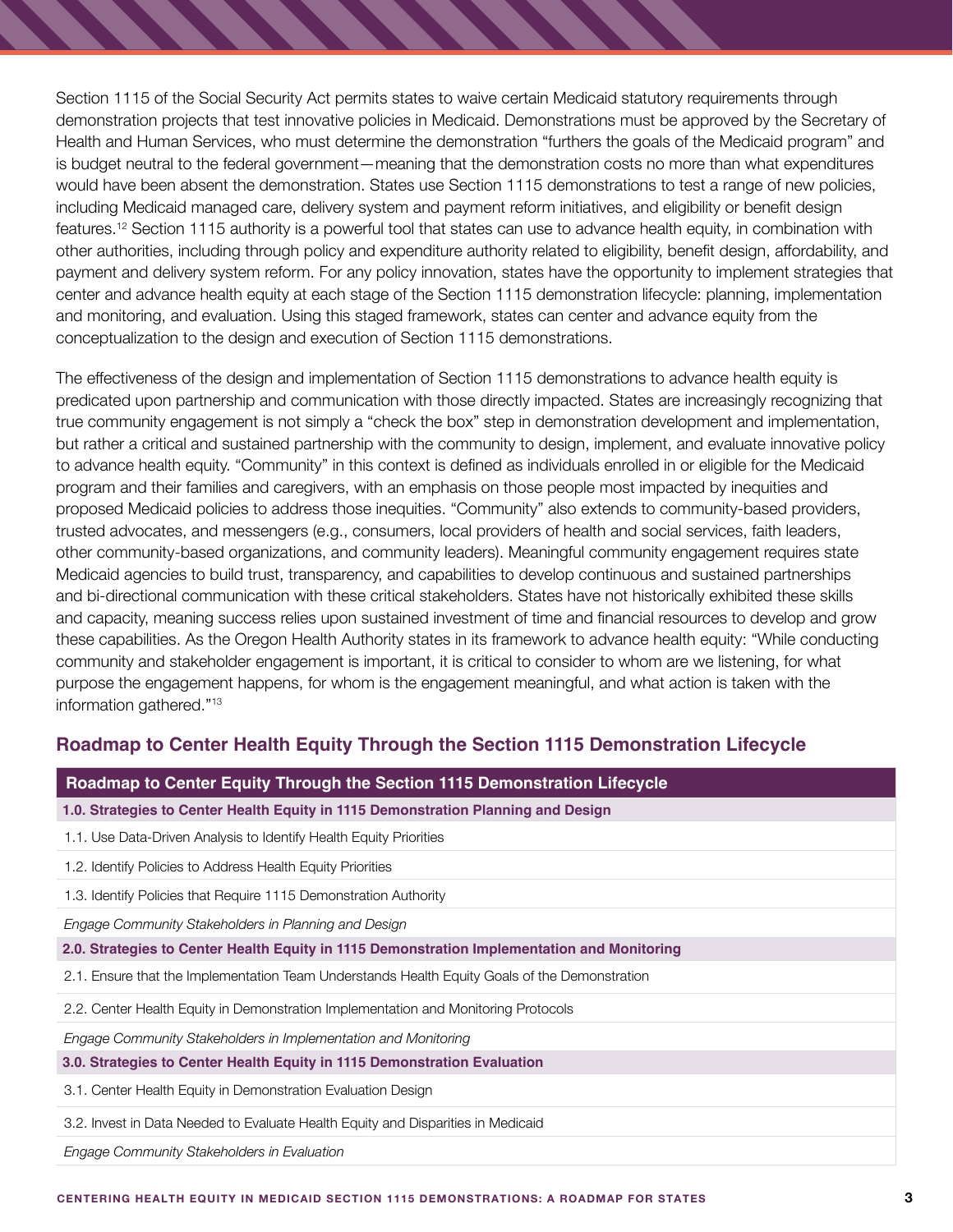Section 1115 of the Social Security Act permits states to waive certain Medicaid statutory requirements through demonstration projects that test innovative policies in Medicaid. Demonstrations must be approved by the Secretary of Health and Human Services, who must determine the demonstration "furthers the goals of the Medicaid program" and is budget neutral to the federal government—meaning that the demonstration costs no more than what expenditures would have been absent the demonstration. States use Section 1115 demonstrations to test a range of new policies, including Medicaid managed care, delivery system and payment reform initiatives, and eligibility or benefit design features.12 Section 1115 authority is a powerful tool that states can use to advance health equity, in combination with other authorities, including through policy and expenditure authority related to eligibility, benefit design, affordability, and payment and delivery system reform. For any policy innovation, states have the opportunity to implement strategies that center and advance health equity at each stage of the Section 1115 demonstration lifecycle: planning, implementation and monitoring, and evaluation. Using this staged framework, states can center and advance equity from the conceptualization to the design and execution of Section 1115 demonstrations.

The effectiveness of the design and implementation of Section 1115 demonstrations to advance health equity is predicated upon partnership and communication with those directly impacted. States are increasingly recognizing that true community engagement is not simply a "check the box" step in demonstration development and implementation, but rather a critical and sustained partnership with the community to design, implement, and evaluate innovative policy to advance health equity. "Community" in this context is defined as individuals enrolled in or eligible for the Medicaid program and their families and caregivers, with an emphasis on those people most impacted by inequities and proposed Medicaid policies to address those inequities. "Community" also extends to community-based providers, trusted advocates, and messengers (e.g., consumers, local providers of health and social services, faith leaders, other community-based organizations, and community leaders). Meaningful community engagement requires state Medicaid agencies to build trust, transparency, and capabilities to develop continuous and sustained partnerships and bi-directional communication with these critical stakeholders. States have not historically exhibited these skills and capacity, meaning success relies upon sustained investment of time and financial resources to develop and grow these capabilities. As the Oregon Health Authority states in its framework to advance health equity: "While conducting community and stakeholder engagement is important, it is critical to consider to whom are we listening, for what purpose the engagement happens, for whom is the engagement meaningful, and what action is taken with the information gathered."13

## **Roadmap to Center Health Equity Through the Section 1115 Demonstration Lifecycle**

| Roadmap to Center Equity Through the Section 1115 Demonstration Lifecycle                     |
|-----------------------------------------------------------------------------------------------|
| 1.0. Strategies to Center Health Equity in 1115 Demonstration Planning and Design             |
| 1.1. Use Data-Driven Analysis to Identify Health Equity Priorities                            |
| 1.2. Identify Policies to Address Health Equity Priorities                                    |
| 1.3. Identify Policies that Require 1115 Demonstration Authority                              |
| Engage Community Stakeholders in Planning and Design                                          |
| 2.0. Strategies to Center Health Equity in 1115 Demonstration Implementation and Monitoring   |
| 2.1. Ensure that the Implementation Team Understands Health Equity Goals of the Demonstration |
| 2.2. Center Health Equity in Demonstration Implementation and Monitoring Protocols            |
| Engage Community Stakeholders in Implementation and Monitoring                                |
| 3.0. Strategies to Center Health Equity in 1115 Demonstration Evaluation                      |
| 3.1. Center Health Equity in Demonstration Evaluation Design                                  |
| 3.2. Invest in Data Needed to Evaluate Health Equity and Disparities in Medicaid              |

*Engage Community Stakeholders in Evaluation*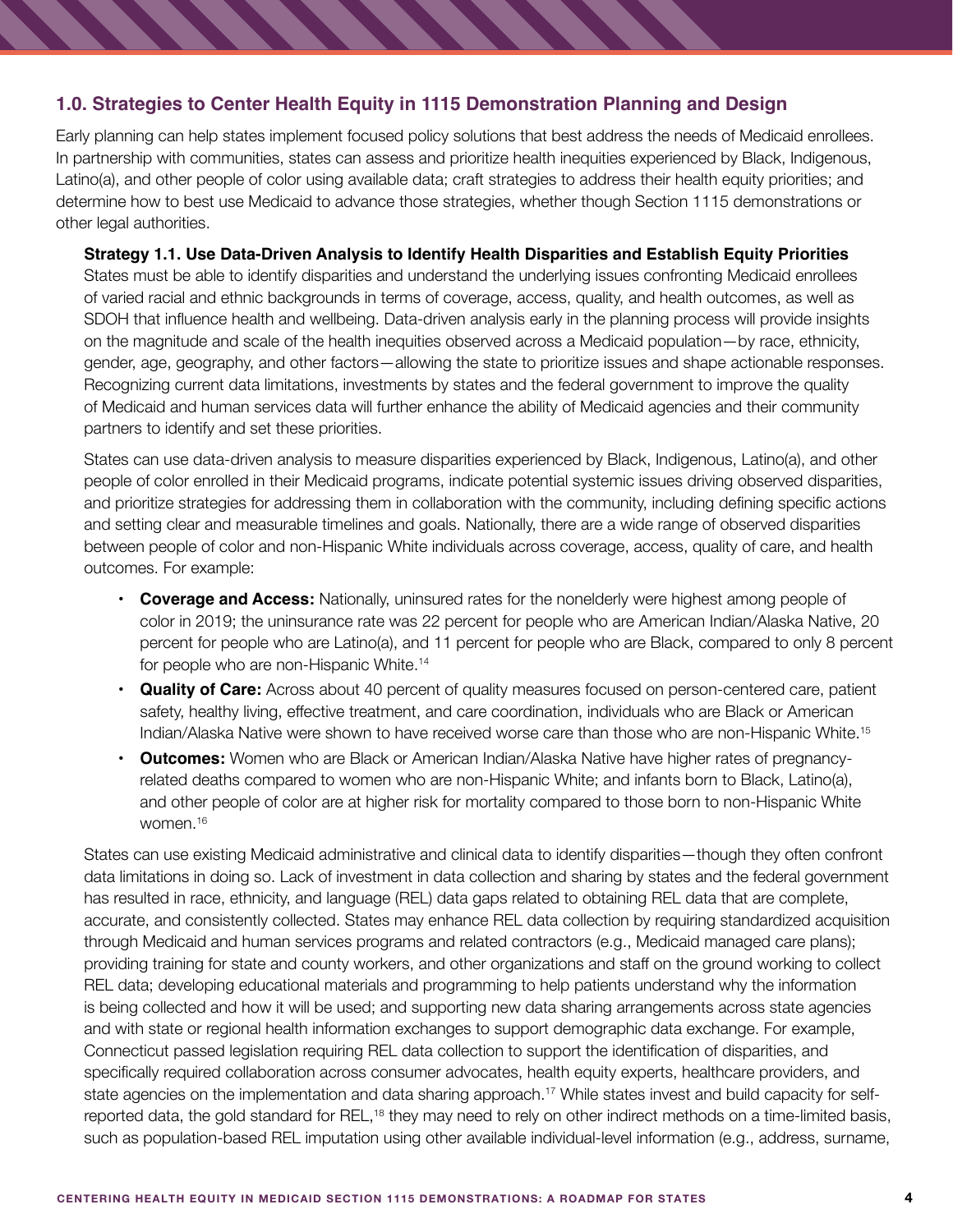## **1.0. Strategies to Center Health Equity in 1115 Demonstration Planning and Design**

Early planning can help states implement focused policy solutions that best address the needs of Medicaid enrollees. In partnership with communities, states can assess and prioritize health inequities experienced by Black, Indigenous, Latino(a), and other people of color using available data; craft strategies to address their health equity priorities; and determine how to best use Medicaid to advance those strategies, whether though Section 1115 demonstrations or other legal authorities.

#### **Strategy 1.1. Use Data-Driven Analysis to Identify Health Disparities and Establish Equity Priorities**

States must be able to identify disparities and understand the underlying issues confronting Medicaid enrollees of varied racial and ethnic backgrounds in terms of coverage, access, quality, and health outcomes, as well as SDOH that influence health and wellbeing. Data-driven analysis early in the planning process will provide insights on the magnitude and scale of the health inequities observed across a Medicaid population—by race, ethnicity, gender, age, geography, and other factors—allowing the state to prioritize issues and shape actionable responses. Recognizing current data limitations, investments by states and the federal government to improve the quality of Medicaid and human services data will further enhance the ability of Medicaid agencies and their community partners to identify and set these priorities.

States can use data-driven analysis to measure disparities experienced by Black, Indigenous, Latino(a), and other people of color enrolled in their Medicaid programs, indicate potential systemic issues driving observed disparities, and prioritize strategies for addressing them in collaboration with the community, including defining specific actions and setting clear and measurable timelines and goals. Nationally, there are a wide range of observed disparities between people of color and non-Hispanic White individuals across coverage, access, quality of care, and health outcomes. For example:

- **• Coverage and Access:** Nationally, uninsured rates for the nonelderly were highest among people of color in 2019; the uninsurance rate was 22 percent for people who are American Indian/Alaska Native, 20 percent for people who are Latino(a), and 11 percent for people who are Black, compared to only 8 percent for people who are non-Hispanic White.14
- **• Quality of Care:** Across about 40 percent of quality measures focused on person-centered care, patient safety, healthy living, effective treatment, and care coordination, individuals who are Black or American Indian/Alaska Native were shown to have received worse care than those who are non-Hispanic White.15
- **• Outcomes:** Women who are Black or American Indian/Alaska Native have higher rates of pregnancyrelated deaths compared to women who are non-Hispanic White; and infants born to Black, Latino(a), and other people of color are at higher risk for mortality compared to those born to non-Hispanic White women.<sup>16</sup>

States can use existing Medicaid administrative and clinical data to identify disparities—though they often confront data limitations in doing so. Lack of investment in data collection and sharing by states and the federal government has resulted in race, ethnicity, and language (REL) data gaps related to obtaining REL data that are complete, accurate, and consistently collected. States may enhance REL data collection by requiring standardized acquisition through Medicaid and human services programs and related contractors (e.g., Medicaid managed care plans); providing training for state and county workers, and other organizations and staff on the ground working to collect REL data; developing educational materials and programming to help patients understand why the information is being collected and how it will be used; and supporting new data sharing arrangements across state agencies and with state or regional health information exchanges to support demographic data exchange. For example, Connecticut passed legislation requiring REL data collection to support the identification of disparities, and specifically required collaboration across consumer advocates, health equity experts, healthcare providers, and state agencies on the implementation and data sharing approach.<sup>17</sup> While states invest and build capacity for selfreported data, the gold standard for REL,<sup>18</sup> they may need to rely on other indirect methods on a time-limited basis, such as population-based REL imputation using other available individual-level information (e.g., address, surname,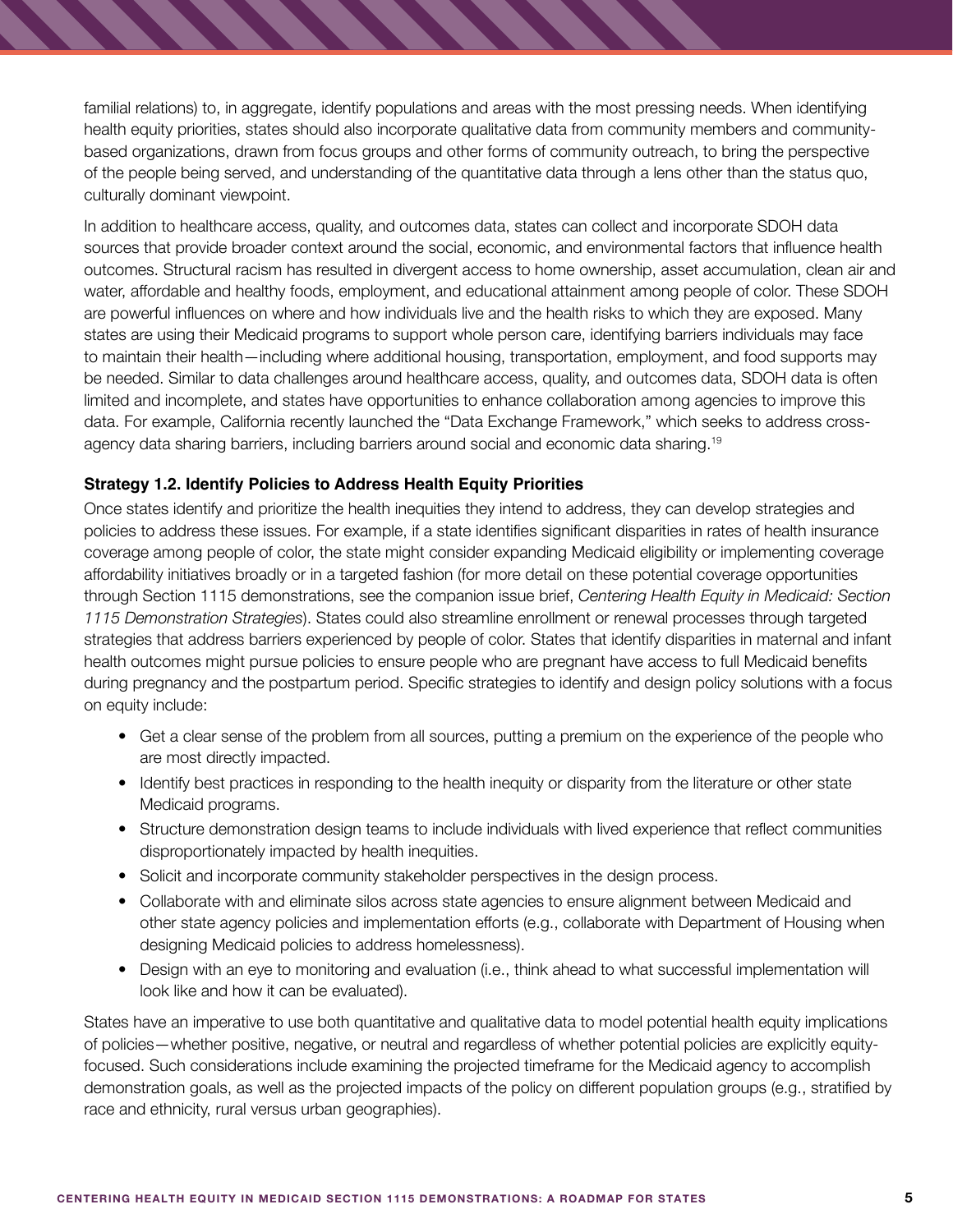familial relations) to, in aggregate, identify populations and areas with the most pressing needs. When identifying health equity priorities, states should also incorporate qualitative data from community members and communitybased organizations, drawn from focus groups and other forms of community outreach, to bring the perspective of the people being served, and understanding of the quantitative data through a lens other than the status quo, culturally dominant viewpoint.

In addition to healthcare access, quality, and outcomes data, states can collect and incorporate SDOH data sources that provide broader context around the social, economic, and environmental factors that influence health outcomes. Structural racism has resulted in divergent access to home ownership, asset accumulation, clean air and water, affordable and healthy foods, employment, and educational attainment among people of color. These SDOH are powerful influences on where and how individuals live and the health risks to which they are exposed. Many states are using their Medicaid programs to support whole person care, identifying barriers individuals may face to maintain their health—including where additional housing, transportation, employment, and food supports may be needed. Similar to data challenges around healthcare access, quality, and outcomes data, SDOH data is often limited and incomplete, and states have opportunities to enhance collaboration among agencies to improve this data. For example, California recently launched the "Data Exchange Framework," which seeks to address crossagency data sharing barriers, including barriers around social and economic data sharing.19

## **Strategy 1.2. Identify Policies to Address Health Equity Priorities**

Once states identify and prioritize the health inequities they intend to address, they can develop strategies and policies to address these issues. For example, if a state identifies significant disparities in rates of health insurance coverage among people of color, the state might consider expanding Medicaid eligibility or implementing coverage affordability initiatives broadly or in a targeted fashion (for more detail on these potential coverage opportunities through Section 1115 demonstrations, see the companion issue brief, *Centering Health Equity in Medicaid: Section 1115 Demonstration Strategies*). States could also streamline enrollment or renewal processes through targeted strategies that address barriers experienced by people of color. States that identify disparities in maternal and infant health outcomes might pursue policies to ensure people who are pregnant have access to full Medicaid benefits during pregnancy and the postpartum period. Specific strategies to identify and design policy solutions with a focus on equity include:

- Get a clear sense of the problem from all sources, putting a premium on the experience of the people who are most directly impacted.
- Identify best practices in responding to the health inequity or disparity from the literature or other state Medicaid programs.
- Structure demonstration design teams to include individuals with lived experience that reflect communities disproportionately impacted by health inequities.
- Solicit and incorporate community stakeholder perspectives in the design process.
- Collaborate with and eliminate silos across state agencies to ensure alignment between Medicaid and other state agency policies and implementation efforts (e.g., collaborate with Department of Housing when designing Medicaid policies to address homelessness).
- Design with an eye to monitoring and evaluation (i.e., think ahead to what successful implementation will look like and how it can be evaluated).

States have an imperative to use both quantitative and qualitative data to model potential health equity implications of policies—whether positive, negative, or neutral and regardless of whether potential policies are explicitly equityfocused. Such considerations include examining the projected timeframe for the Medicaid agency to accomplish demonstration goals, as well as the projected impacts of the policy on different population groups (e.g., stratified by race and ethnicity, rural versus urban geographies).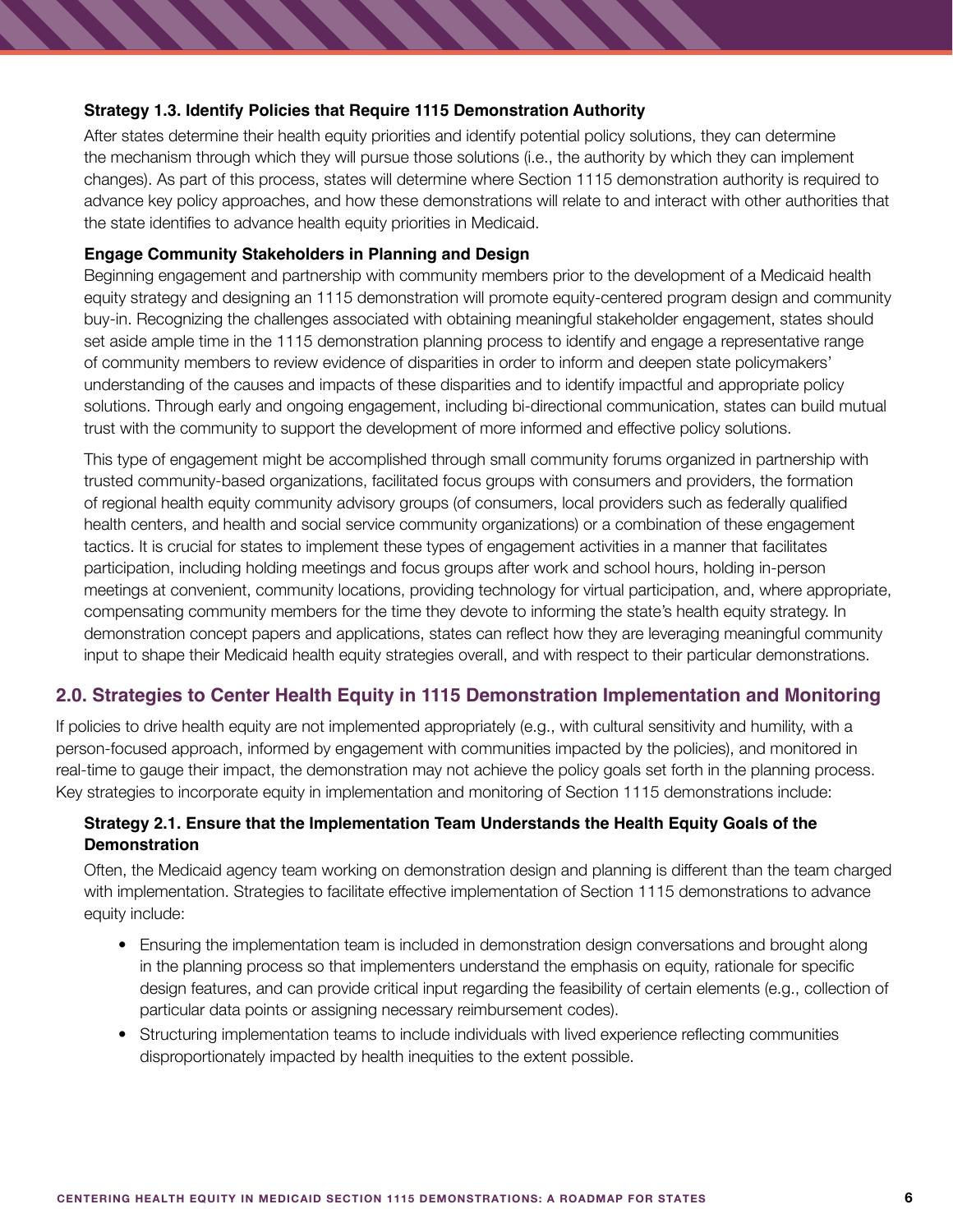## **Strategy 1.3. Identify Policies that Require 1115 Demonstration Authority**

After states determine their health equity priorities and identify potential policy solutions, they can determine the mechanism through which they will pursue those solutions (i.e., the authority by which they can implement changes). As part of this process, states will determine where Section 1115 demonstration authority is required to advance key policy approaches, and how these demonstrations will relate to and interact with other authorities that the state identifies to advance health equity priorities in Medicaid.

## **Engage Community Stakeholders in Planning and Design**

Beginning engagement and partnership with community members prior to the development of a Medicaid health equity strategy and designing an 1115 demonstration will promote equity-centered program design and community buy-in. Recognizing the challenges associated with obtaining meaningful stakeholder engagement, states should set aside ample time in the 1115 demonstration planning process to identify and engage a representative range of community members to review evidence of disparities in order to inform and deepen state policymakers' understanding of the causes and impacts of these disparities and to identify impactful and appropriate policy solutions. Through early and ongoing engagement, including bi-directional communication, states can build mutual trust with the community to support the development of more informed and effective policy solutions.

This type of engagement might be accomplished through small community forums organized in partnership with trusted community-based organizations, facilitated focus groups with consumers and providers, the formation of regional health equity community advisory groups (of consumers, local providers such as federally qualified health centers, and health and social service community organizations) or a combination of these engagement tactics. It is crucial for states to implement these types of engagement activities in a manner that facilitates participation, including holding meetings and focus groups after work and school hours, holding in-person meetings at convenient, community locations, providing technology for virtual participation, and, where appropriate, compensating community members for the time they devote to informing the state's health equity strategy. In demonstration concept papers and applications, states can reflect how they are leveraging meaningful community input to shape their Medicaid health equity strategies overall, and with respect to their particular demonstrations.

## **2.0. Strategies to Center Health Equity in 1115 Demonstration Implementation and Monitoring**

If policies to drive health equity are not implemented appropriately (e.g., with cultural sensitivity and humility, with a person-focused approach, informed by engagement with communities impacted by the policies), and monitored in real-time to gauge their impact, the demonstration may not achieve the policy goals set forth in the planning process. Key strategies to incorporate equity in implementation and monitoring of Section 1115 demonstrations include:

## **Strategy 2.1. Ensure that the Implementation Team Understands the Health Equity Goals of the Demonstration**

Often, the Medicaid agency team working on demonstration design and planning is different than the team charged with implementation. Strategies to facilitate effective implementation of Section 1115 demonstrations to advance equity include:

- Ensuring the implementation team is included in demonstration design conversations and brought along in the planning process so that implementers understand the emphasis on equity, rationale for specific design features, and can provide critical input regarding the feasibility of certain elements (e.g., collection of particular data points or assigning necessary reimbursement codes).
- Structuring implementation teams to include individuals with lived experience reflecting communities disproportionately impacted by health inequities to the extent possible.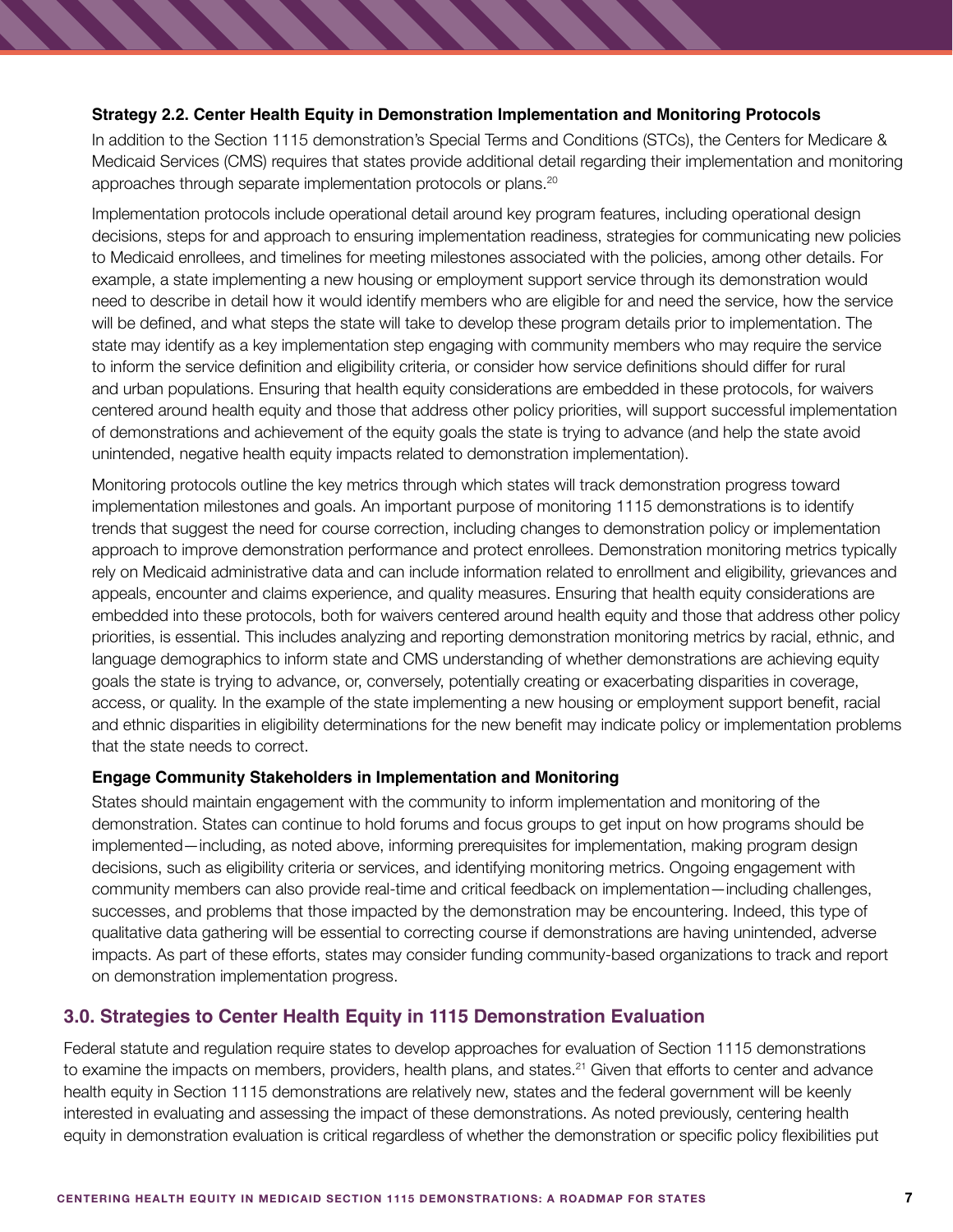### **Strategy 2.2. Center Health Equity in Demonstration Implementation and Monitoring Protocols**

In addition to the Section 1115 demonstration's Special Terms and Conditions (STCs), the Centers for Medicare & Medicaid Services (CMS) requires that states provide additional detail regarding their implementation and monitoring approaches through separate implementation protocols or plans.<sup>20</sup>

Implementation protocols include operational detail around key program features, including operational design decisions, steps for and approach to ensuring implementation readiness, strategies for communicating new policies to Medicaid enrollees, and timelines for meeting milestones associated with the policies, among other details. For example, a state implementing a new housing or employment support service through its demonstration would need to describe in detail how it would identify members who are eligible for and need the service, how the service will be defined, and what steps the state will take to develop these program details prior to implementation. The state may identify as a key implementation step engaging with community members who may require the service to inform the service definition and eligibility criteria, or consider how service definitions should differ for rural and urban populations. Ensuring that health equity considerations are embedded in these protocols, for waivers centered around health equity and those that address other policy priorities, will support successful implementation of demonstrations and achievement of the equity goals the state is trying to advance (and help the state avoid unintended, negative health equity impacts related to demonstration implementation).

Monitoring protocols outline the key metrics through which states will track demonstration progress toward implementation milestones and goals. An important purpose of monitoring 1115 demonstrations is to identify trends that suggest the need for course correction, including changes to demonstration policy or implementation approach to improve demonstration performance and protect enrollees. Demonstration monitoring metrics typically rely on Medicaid administrative data and can include information related to enrollment and eligibility, grievances and appeals, encounter and claims experience, and quality measures. Ensuring that health equity considerations are embedded into these protocols, both for waivers centered around health equity and those that address other policy priorities, is essential. This includes analyzing and reporting demonstration monitoring metrics by racial, ethnic, and language demographics to inform state and CMS understanding of whether demonstrations are achieving equity goals the state is trying to advance, or, conversely, potentially creating or exacerbating disparities in coverage, access, or quality. In the example of the state implementing a new housing or employment support benefit, racial and ethnic disparities in eligibility determinations for the new benefit may indicate policy or implementation problems that the state needs to correct.

### **Engage Community Stakeholders in Implementation and Monitoring**

States should maintain engagement with the community to inform implementation and monitoring of the demonstration. States can continue to hold forums and focus groups to get input on how programs should be implemented—including, as noted above, informing prerequisites for implementation, making program design decisions, such as eligibility criteria or services, and identifying monitoring metrics. Ongoing engagement with community members can also provide real-time and critical feedback on implementation—including challenges, successes, and problems that those impacted by the demonstration may be encountering. Indeed, this type of qualitative data gathering will be essential to correcting course if demonstrations are having unintended, adverse impacts. As part of these efforts, states may consider funding community-based organizations to track and report on demonstration implementation progress.

## **3.0. Strategies to Center Health Equity in 1115 Demonstration Evaluation**

Federal statute and regulation require states to develop approaches for evaluation of Section 1115 demonstrations to examine the impacts on members, providers, health plans, and states.<sup>21</sup> Given that efforts to center and advance health equity in Section 1115 demonstrations are relatively new, states and the federal government will be keenly interested in evaluating and assessing the impact of these demonstrations. As noted previously, centering health equity in demonstration evaluation is critical regardless of whether the demonstration or specific policy flexibilities put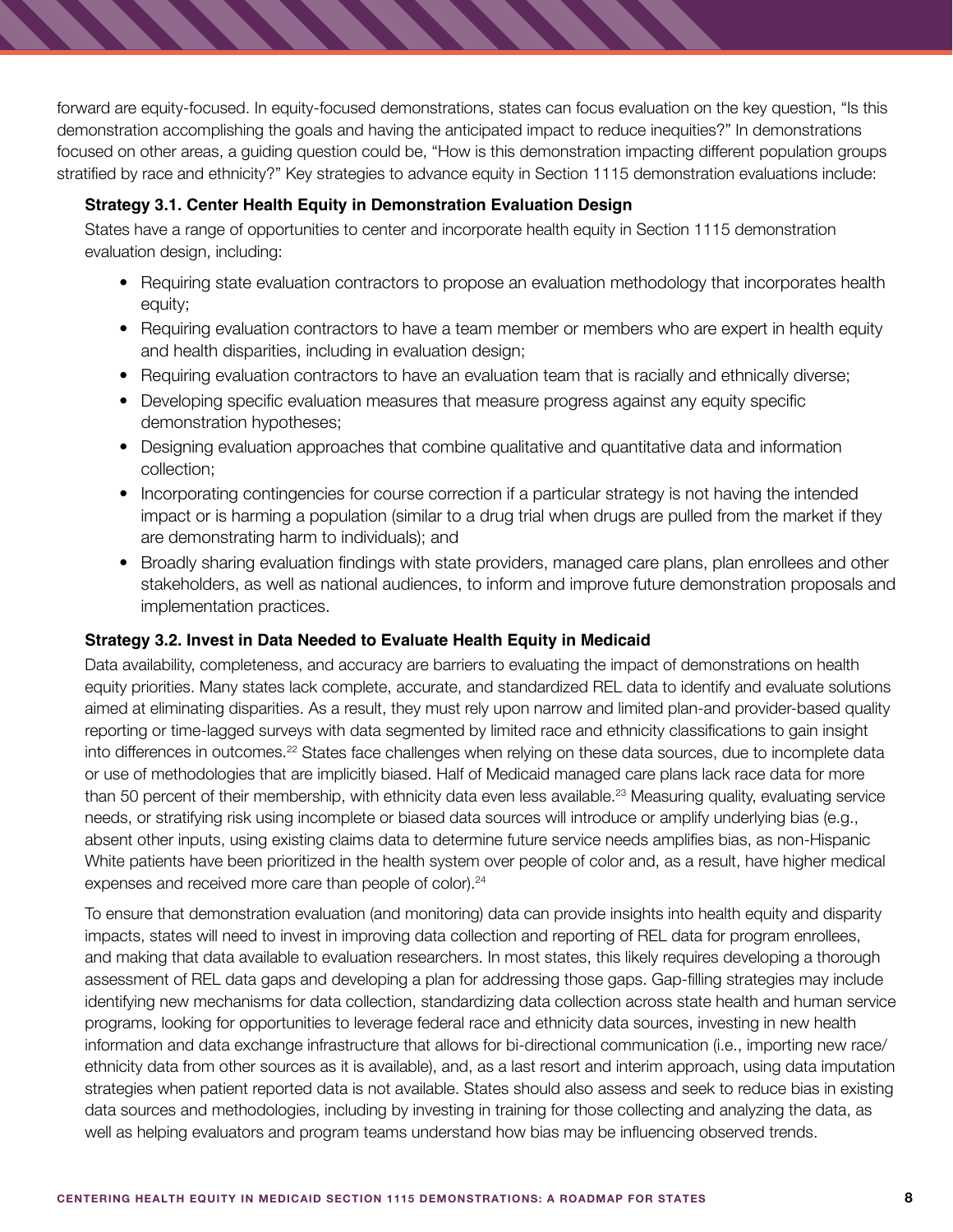forward are equity-focused. In equity-focused demonstrations, states can focus evaluation on the key question, "Is this demonstration accomplishing the goals and having the anticipated impact to reduce inequities?" In demonstrations focused on other areas, a guiding question could be, "How is this demonstration impacting different population groups stratified by race and ethnicity?" Key strategies to advance equity in Section 1115 demonstration evaluations include:

## **Strategy 3.1. Center Health Equity in Demonstration Evaluation Design**

States have a range of opportunities to center and incorporate health equity in Section 1115 demonstration evaluation design, including:

- Requiring state evaluation contractors to propose an evaluation methodology that incorporates health equity;
- Requiring evaluation contractors to have a team member or members who are expert in health equity and health disparities, including in evaluation design;
- Requiring evaluation contractors to have an evaluation team that is racially and ethnically diverse;
- Developing specific evaluation measures that measure progress against any equity specific demonstration hypotheses;
- Designing evaluation approaches that combine qualitative and quantitative data and information collection;
- Incorporating contingencies for course correction if a particular strategy is not having the intended impact or is harming a population (similar to a drug trial when drugs are pulled from the market if they are demonstrating harm to individuals); and
- Broadly sharing evaluation findings with state providers, managed care plans, plan enrollees and other stakeholders, as well as national audiences, to inform and improve future demonstration proposals and implementation practices.

### **Strategy 3.2. Invest in Data Needed to Evaluate Health Equity in Medicaid**

Data availability, completeness, and accuracy are barriers to evaluating the impact of demonstrations on health equity priorities. Many states lack complete, accurate, and standardized REL data to identify and evaluate solutions aimed at eliminating disparities. As a result, they must rely upon narrow and limited plan-and provider-based quality reporting or time-lagged surveys with data segmented by limited race and ethnicity classifications to gain insight into differences in outcomes.<sup>22</sup> States face challenges when relying on these data sources, due to incomplete data or use of methodologies that are implicitly biased. Half of Medicaid managed care plans lack race data for more than 50 percent of their membership, with ethnicity data even less available.<sup>23</sup> Measuring quality, evaluating service needs, or stratifying risk using incomplete or biased data sources will introduce or amplify underlying bias (e.g., absent other inputs, using existing claims data to determine future service needs amplifies bias, as non-Hispanic White patients have been prioritized in the health system over people of color and, as a result, have higher medical expenses and received more care than people of color).<sup>24</sup>

To ensure that demonstration evaluation (and monitoring) data can provide insights into health equity and disparity impacts, states will need to invest in improving data collection and reporting of REL data for program enrollees, and making that data available to evaluation researchers. In most states, this likely requires developing a thorough assessment of REL data gaps and developing a plan for addressing those gaps. Gap-filling strategies may include identifying new mechanisms for data collection, standardizing data collection across state health and human service programs, looking for opportunities to leverage federal race and ethnicity data sources, investing in new health information and data exchange infrastructure that allows for bi-directional communication (i.e., importing new race/ ethnicity data from other sources as it is available), and, as a last resort and interim approach, using data imputation strategies when patient reported data is not available. States should also assess and seek to reduce bias in existing data sources and methodologies, including by investing in training for those collecting and analyzing the data, as well as helping evaluators and program teams understand how bias may be influencing observed trends.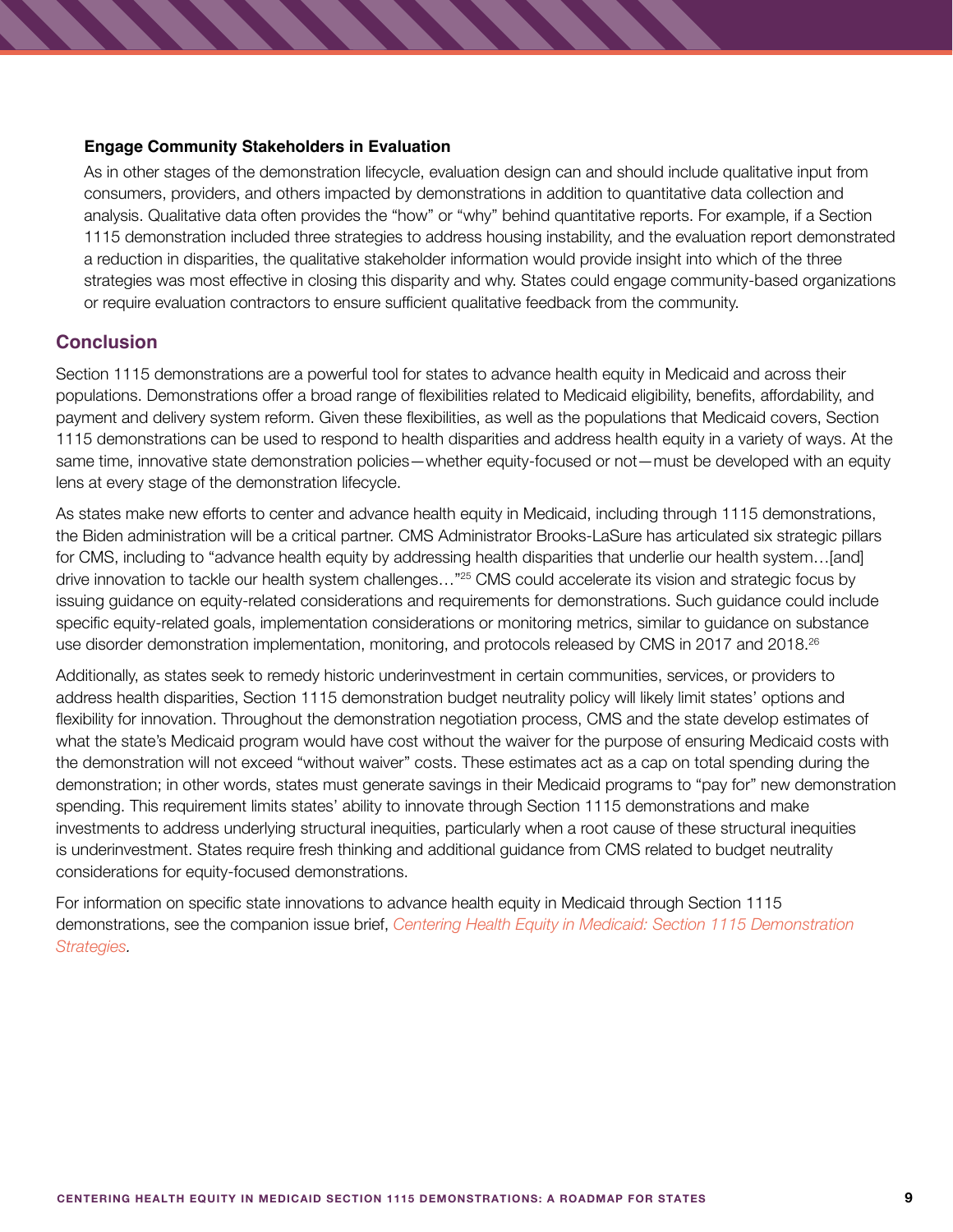### **Engage Community Stakeholders in Evaluation**

As in other stages of the demonstration lifecycle, evaluation design can and should include qualitative input from consumers, providers, and others impacted by demonstrations in addition to quantitative data collection and analysis. Qualitative data often provides the "how" or "why" behind quantitative reports. For example, if a Section 1115 demonstration included three strategies to address housing instability, and the evaluation report demonstrated a reduction in disparities, the qualitative stakeholder information would provide insight into which of the three strategies was most effective in closing this disparity and why. States could engage community-based organizations or require evaluation contractors to ensure sufficient qualitative feedback from the community.

## **Conclusion**

Section 1115 demonstrations are a powerful tool for states to advance health equity in Medicaid and across their populations. Demonstrations offer a broad range of flexibilities related to Medicaid eligibility, benefits, affordability, and payment and delivery system reform. Given these flexibilities, as well as the populations that Medicaid covers, Section 1115 demonstrations can be used to respond to health disparities and address health equity in a variety of ways. At the same time, innovative state demonstration policies—whether equity-focused or not—must be developed with an equity lens at every stage of the demonstration lifecycle.

As states make new efforts to center and advance health equity in Medicaid, including through 1115 demonstrations, the Biden administration will be a critical partner. CMS Administrator Brooks-LaSure has articulated six strategic pillars for CMS, including to "advance health equity by addressing health disparities that underlie our health system…[and] drive innovation to tackle our health system challenges…"25 CMS could accelerate its vision and strategic focus by issuing guidance on equity-related considerations and requirements for demonstrations. Such guidance could include specific equity-related goals, implementation considerations or monitoring metrics, similar to guidance on substance use disorder demonstration implementation, monitoring, and protocols released by CMS in 2017 and 2018.<sup>26</sup>

Additionally, as states seek to remedy historic underinvestment in certain communities, services, or providers to address health disparities, Section 1115 demonstration budget neutrality policy will likely limit states' options and flexibility for innovation. Throughout the demonstration negotiation process, CMS and the state develop estimates of what the state's Medicaid program would have cost without the waiver for the purpose of ensuring Medicaid costs with the demonstration will not exceed "without waiver" costs. These estimates act as a cap on total spending during the demonstration; in other words, states must generate savings in their Medicaid programs to "pay for" new demonstration spending. This requirement limits states' ability to innovate through Section 1115 demonstrations and make investments to address underlying structural inequities, particularly when a root cause of these structural inequities is underinvestment. States require fresh thinking and additional guidance from CMS related to budget neutrality considerations for equity-focused demonstrations.

For information on specific state innovations to advance health equity in Medicaid through Section 1115 demonstrations, see the companion issue brief, *[Centering Health Equity in Medicaid: Section 1115 Demonstration](https://www.shvs.org/wp-content/uploads/2022/02/Companion-Document-Demonstrations-Health-Equity-Strategies-final.pdf)  [Strategies](https://www.shvs.org/wp-content/uploads/2022/02/Companion-Document-Demonstrations-Health-Equity-Strategies-final.pdf).*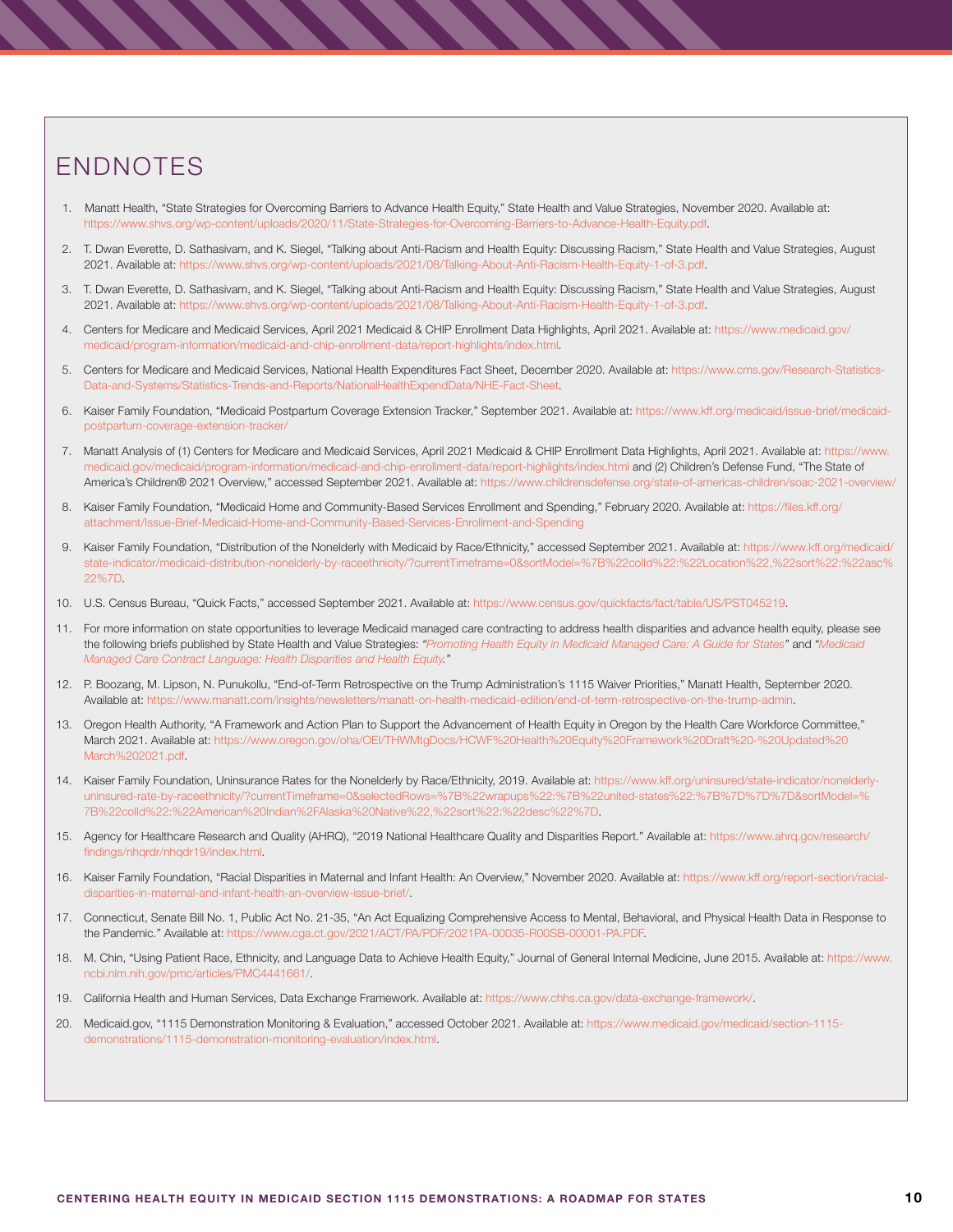# ENDNOTES

- 1.Manatt Health, "State Strategies for Overcoming Barriers to Advance Health Equity," State Health and Value Strategies, November 2020. Available at: <https://www.shvs.org/wp-content/uploads/2020/11/State-Strategies-for-Overcoming-Barriers-to-Advance-Health-Equity.pdf>.
- 2. T. Dwan Everette, D. Sathasivam, and K. Siegel, "Talking about Anti-Racism and Health Equity: Discussing Racism," State Health and Value Strategies, August 2021. Available at: <https://www.shvs.org/wp-content/uploads/2021/08/Talking-About-Anti-Racism-Health-Equity-1-of-3.pdf>.
- 3. T. Dwan Everette, D. Sathasivam, and K. Siegel, "Talking about Anti-Racism and Health Equity: Discussing Racism," State Health and Value Strategies, August 2021. Available at: <https://www.shvs.org/wp-content/uploads/2021/08/Talking-About-Anti-Racism-Health-Equity-1-of-3.pdf>.
- 4. Centers for Medicare and Medicaid Services, April 2021 Medicaid & CHIP Enrollment Data Highlights, April 2021. Available at: [https://www.medicaid.gov/](https://www.medicaid.gov/medicaid/program-information/medicaid-and-chip-enrollment-data/report-highlights/index.html) [medicaid/program-information/medicaid-and-chip-enrollment-data/report-highlights/index.html.](https://www.medicaid.gov/medicaid/program-information/medicaid-and-chip-enrollment-data/report-highlights/index.html)
- 5. Centers for Medicare and Medicaid Services, National Health Expenditures Fact Sheet, December 2020. Available at: [https://www.cms.gov/Research-Statistics-](https://www.cms.gov/Research-Statistics-Data-and-Systems/Statistics-Trends-and-Reports/NationalHealthExpendData/NHE-Fact-Sheet)[Data-and-Systems/Statistics-Trends-and-Reports/NationalHealthExpendData/NHE-Fact-Sheet](https://www.cms.gov/Research-Statistics-Data-and-Systems/Statistics-Trends-and-Reports/NationalHealthExpendData/NHE-Fact-Sheet).
- 6. Kaiser Family Foundation, "Medicaid Postpartum Coverage Extension Tracker," September 2021. Available at: [https://www.kff.org/medicaid/issue-brief/medicaid](https://www.kff.org/medicaid/issue-brief/medicaid-postpartum-coverage-extension-tracker/)[postpartum-coverage-extension-tracker/](https://www.kff.org/medicaid/issue-brief/medicaid-postpartum-coverage-extension-tracker/)
- 7. Manatt Analysis of (1) Centers for Medicare and Medicaid Services, April 2021 Medicaid & CHIP Enrollment Data Highlights, April 2021. Available at: [https://www.](https://www.medicaid.gov/medicaid/program-information/medicaid-and-chip-enrollment-data/report-highlights/index.html) [medicaid.gov/medicaid/program-information/medicaid-and-chip-enrollment-data/report-highlights/index.html](https://www.medicaid.gov/medicaid/program-information/medicaid-and-chip-enrollment-data/report-highlights/index.html) and (2) Children's Defense Fund, "The State of America's Children® 2021 Overview," accessed September 2021. Available at: [https://www.childrensdefense.org/state-of-americas-children/soac-2021-overview/](https://www.childrensdefense.org/state-of-americas-children/soac-2021-overview/ )
- 8. Kaiser Family Foundation, "Medicaid Home and Community-Based Services Enrollment and Spending," February 2020. Available at: [https://files.kff.org/](https://files.kff.org/attachment/Issue-Brief-Medicaid-Home-and-Community-Based-Services-Enrollment-and-Spending) [attachment/Issue-Brief-Medicaid-Home-and-Community-Based-Services-Enrollment-and-Spending](https://files.kff.org/attachment/Issue-Brief-Medicaid-Home-and-Community-Based-Services-Enrollment-and-Spending)
- 9. Kaiser Family Foundation, "Distribution of the Nonelderly with Medicaid by Race/Ethnicity," accessed September 2021. Available at: [https://www.kff.org/medicaid/](https://www.kff.org/medicaid/state-indicator/medicaid-distribution-nonelderly-by-raceethnicity/?curr) [state-indicator/medicaid-distribution-nonelderly-by-raceethnicity/?currentTimeframe=0&sortModel=%7B%22colId%22:%22Location%22,%22sort%22:%22asc%](https://www.kff.org/medicaid/state-indicator/medicaid-distribution-nonelderly-by-raceethnicity/?curr) [22%7D](https://www.kff.org/medicaid/state-indicator/medicaid-distribution-nonelderly-by-raceethnicity/?curr).
- 10. U.S. Census Bureau, "Quick Facts," accessed September 2021. Available at: <https://www.census.gov/quickfacts/fact/table/US/PST045219>.
- 11. For more information on state opportunities to leverage Medicaid managed care contracting to address health disparities and advance health equity, please see the following briefs published by State Health and Value Strategies: *"[Promoting Health Equity in Medicaid Managed Care: A Guide for States](https://www.shvs.org/wp-content/uploads/2021/09/Promoting-Health-Equity-in-Medicaid-Managed-Care_A-Guide-for-States.pdf)"* and *"[Medicaid](https://www.shvs.org/wp-content/uploads/2021/08/SHVS-MCO-Contract-Language-Health-Equity-and-Disparities_January-2022.pdf)  [Managed Care Contract Language: Health Disparities and Health Equity](https://www.shvs.org/wp-content/uploads/2021/08/SHVS-MCO-Contract-Language-Health-Equity-and-Disparities_January-2022.pdf)."*
- 12. P. Boozang, M. Lipson, N. Punukollu, "End-of-Term Retrospective on the Trump Administration's 1115 Waiver Priorities," Manatt Health, September 2020. Available at: [https://www.manatt.com/insights/newsletters/manatt-on-health-medicaid-edition/end-of-term-retrospective-on-the-trump-admin.](https://www.manatt.com/insights/newsletters/manatt-on-health-medicaid-edition/end-of-term-retrospect)
- 13. Oregon Health Authority, "A Framework and Action Plan to Support the Advancement of Health Equity in Oregon by the Health Care Workforce Committee," March 2021. Available at: [https://www.oregon.gov/oha/OEI/THWMtgDocs/HCWF%20Health%20Equity%20Framework%20Draft%20-%20Updated%20](https://www.oregon.gov/oha/OEI/THWMtgDocs/HCWF%20Health%20Equity%20Framework%20Draft%20-%20Updated%20March%202021.pdf) [March%202021.pdf.](https://www.oregon.gov/oha/OEI/THWMtgDocs/HCWF%20Health%20Equity%20Framework%20Draft%20-%20Updated%20March%202021.pdf)
- 14. Kaiser Family Foundation, Uninsurance Rates for the Nonelderly by Race/Ethnicity, 2019. Available at: [https://www.kff.org/uninsured/state-indicator/nonelderly](https://www.kff.org/uninsured/state-indicator/nonelderly-uninsured-rate-by-raceethnicity/?currentTim)[uninsured-rate-by-raceethnicity/?currentTimeframe=0&selectedRows=%7B%22wrapups%22:%7B%22united-states%22:%7B%7D%7D%7D&sortModel=%](https://www.kff.org/uninsured/state-indicator/nonelderly-uninsured-rate-by-raceethnicity/?currentTim) [7B%22colId%22:%22American%20Indian%2FAlaska%20Native%22,%22sort%22:%22desc%22%7D.](https://www.kff.org/uninsured/state-indicator/nonelderly-uninsured-rate-by-raceethnicity/?currentTim)
- 15. Agency for Healthcare Research and Quality (AHRQ), "2019 National Healthcare Quality and Disparities Report." Available at: [https://www.ahrq.gov/research/](https://www.ahrq.gov/research/findings/nhqrdr/nhqdr19/index.html) [findings/nhqrdr/nhqdr19/index.html](https://www.ahrq.gov/research/findings/nhqrdr/nhqdr19/index.html).
- 16. Kaiser Family Foundation, "Racial Disparities in Maternal and Infant Health: An Overview," November 2020. Available at: [https://www.kff.org/report-section/racial](https://www.kff.org/report-section/racial-disparities-in-maternal-and-infant-health-an-overview-issu)[disparities-in-maternal-and-infant-health-an-overview-issue-brief/](https://www.kff.org/report-section/racial-disparities-in-maternal-and-infant-health-an-overview-issu).
- 17. Connecticut, Senate Bill No. 1, Public Act No. 21-35, "An Act Equalizing Comprehensive Access to Mental, Behavioral, and Physical Health Data in Response to the Pandemic." Available at:<https://www.cga.ct.gov/2021/ACT/PA/PDF/2021PA-00035-R00SB-00001-PA.PDF>.
- 18. M. Chin, "Using Patient Race, Ethnicity, and Language Data to Achieve Health Equity," Journal of General Internal Medicine, June 2015. Available at: [https://www.](https://www.ncbi.nlm.nih.gov/pmc/articles/PMC4441661/) [ncbi.nlm.nih.gov/pmc/articles/PMC4441661/](https://www.ncbi.nlm.nih.gov/pmc/articles/PMC4441661/).
- 19. California Health and Human Services, Data Exchange Framework. Available at: [https://www.chhs.ca.gov/data-exchange-framework/.](https://www.chhs.ca.gov/data-exchange-framework/)
- 20. Medicaid.gov, "1115 Demonstration Monitoring & Evaluation," accessed October 2021. Available at: [https://www.medicaid.gov/medicaid/section-1115](https://www.medicaid.gov/medicaid/section-1115-demonstrations/1115-demonstration-monitoring-evaluation/index.html) [demonstrations/1115-demonstration-monitoring-evaluation/index.html](https://www.medicaid.gov/medicaid/section-1115-demonstrations/1115-demonstration-monitoring-evaluation/index.html).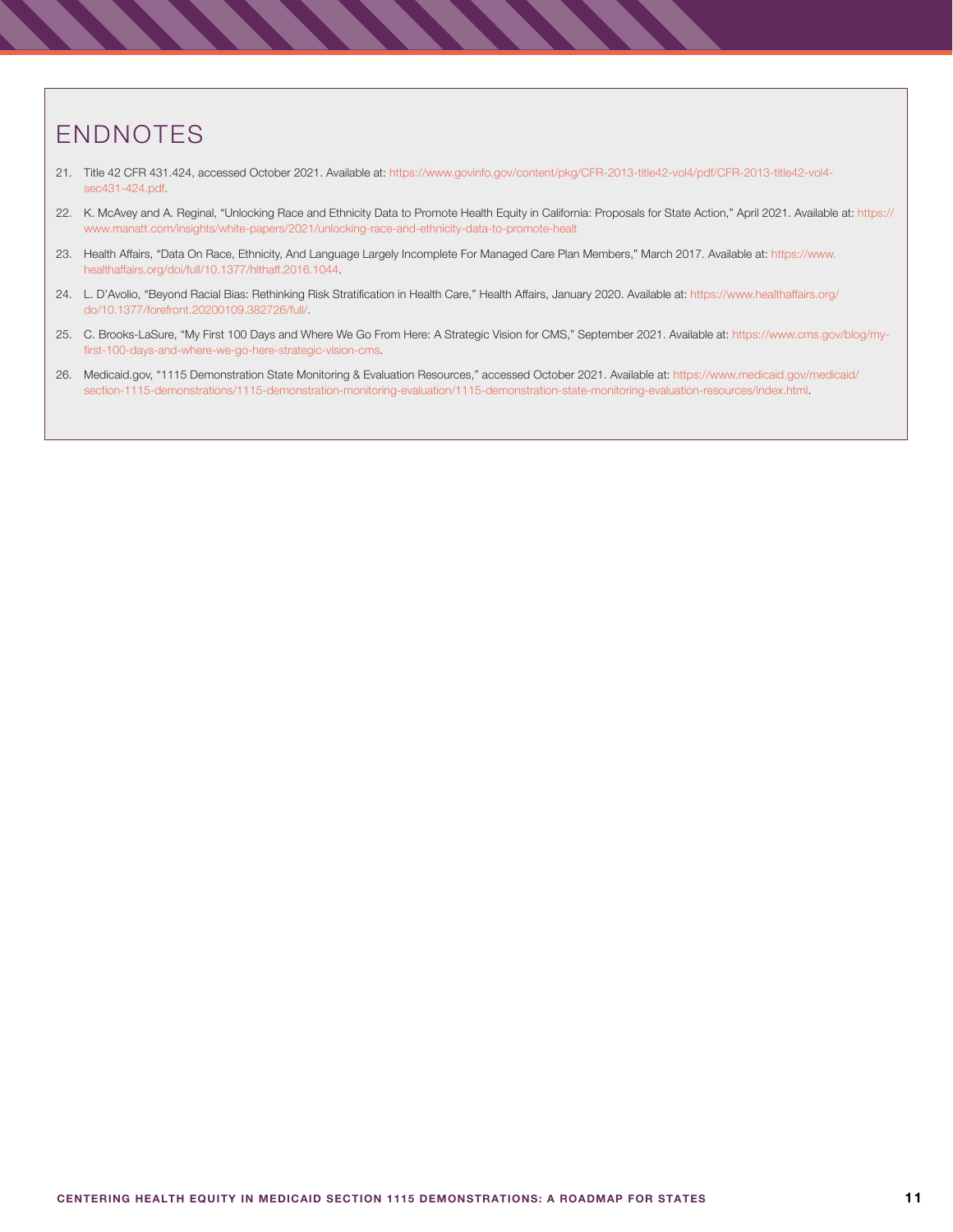# ENDNOTES

- 21. Title 42 CFR 431.424, accessed October 2021. Available at: [https://www.govinfo.gov/content/pkg/CFR-2013-title42-vol4/pdf/CFR-2013-title42-vol4](https://www.govinfo.gov/content/pkg/CFR-2013-title42-vol4/pdf/CFR-2013-title42-vol4-sec431-424.pdf) [sec431-424.pdf.](https://www.govinfo.gov/content/pkg/CFR-2013-title42-vol4/pdf/CFR-2013-title42-vol4-sec431-424.pdf)
- 22. K. McAvey and A. Reginal, "Unlocking Race and Ethnicity Data to Promote Health Equity in California: Proposals for State Action," April 2021. Available at: [https://](https://www.manatt.com/insights/white-papers/2021/unlocking-race-and-ethnicity-data-to-promote-healt) [www.manatt.com/insights/white-papers/2021/unlocking-race-and-ethnicity-data-to-promote-healt](https://www.manatt.com/insights/white-papers/2021/unlocking-race-and-ethnicity-data-to-promote-healt)
- 23. Health Affairs, "Data On Race, Ethnicity, And Language Largely Incomplete For Managed Care Plan Members," March 2017. Available at: [https://www.](https://www.healthaffairs.org/doi/full/10.1377/hlthaff.2016.1044) [healthaffairs.org/doi/full/10.1377/hlthaff.2016.1044.](https://www.healthaffairs.org/doi/full/10.1377/hlthaff.2016.1044)
- 24. L. D'Avolio, "Beyond Racial Bias: Rethinking Risk Stratification in Health Care," Health Affairs, January 2020. Available at: [https://www.healthaffairs.org/](https://www.healthaffairs.org/do/10.1377/forefront.20200109.382726/full/) [do/10.1377/forefront.20200109.382726/full/.](https://www.healthaffairs.org/do/10.1377/forefront.20200109.382726/full/)
- 25. [C. Brooks-LaSure, "My First 100 Days and Where We Go From Here: A Strategic Vision for CMS," September 2021. Available at: https://www.cms.gov/blog/my](https://www.cms.gov/blog/my-first-100-days-and-where-we-go-here-strategic-vision-cms)[first-100-days-and-where-we-go-here-strategic-vision-cms](https://www.cms.gov/blog/my-first-100-days-and-where-we-go-here-strategic-vision-cms).
- 26. Medicaid.gov, "1115 Demonstration State Monitoring & Evaluation Resources," accessed October 2021. Available at: [https://www.medicaid.gov/medicaid/](https://www.medicaid.gov/medicaid/section-1115-demonstrations/1115-demonstration-monitoring-evaluation/1115-demonstration-state-monitoring-evaluation-resources/index.html) [section-1115-demonstrations/1115-demonstration-monitoring-evaluation/1115-demonstration-state-monitoring-evaluation-resources/index.html](https://www.medicaid.gov/medicaid/section-1115-demonstrations/1115-demonstration-monitoring-evaluation/1115-demonstration-state-monitoring-evaluation-resources/index.html).